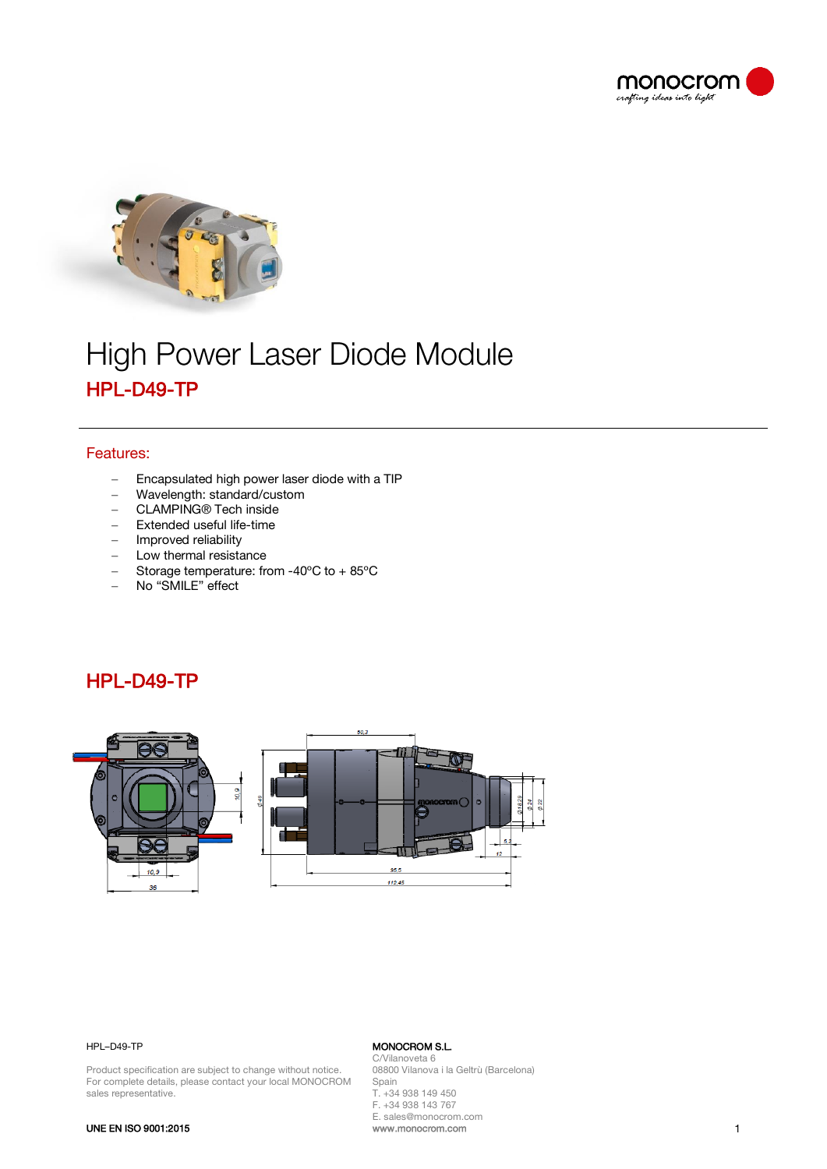



# High Power Laser Diode Module HPL-D49-TP

### Features:

- − Encapsulated high power laser diode with a TIP
- − Wavelength: standard/custom
- − CLAMPING® Tech inside
- − Extended useful life-time
- − Improved reliability
- − Low thermal resistance
- − Storage temperature: from -40ºC to + 85ºC
- − No "SMILE" effect

## HPL-D49-TP



### HPL–D49-TP

Product specification are subject to change without notice. For complete details, please contact your local MONOCROM sales representative.

#### MONOCROM S.L. C/Vilanoveta 6

08800 Vilanova i la Geltrù (Barcelona) Spain T. +34 938 149 450 F. +34 938 143 767 E. sales@monocrom.com www.monocrom.com 1

### UNE EN ISO 9001:2015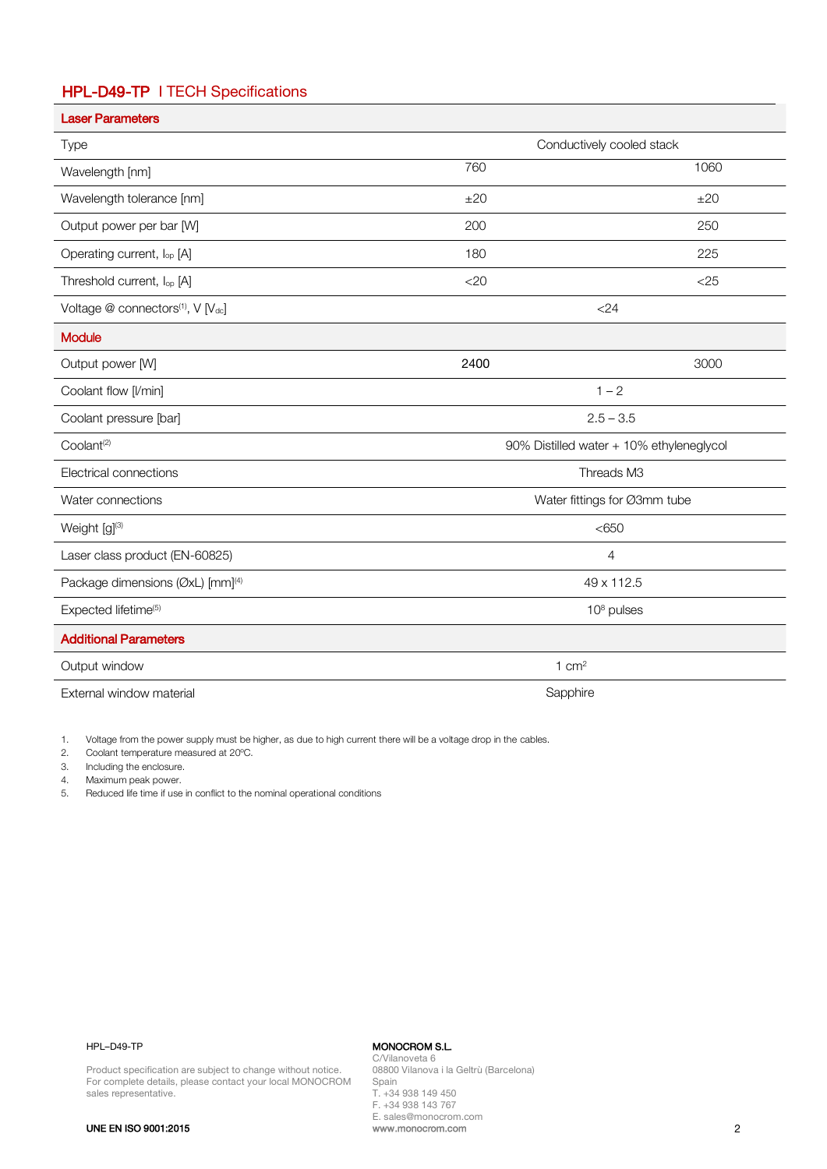### HPL-D49-TP I TECH Specifications

| <b>Laser Parameters</b>                      |                                          |        |
|----------------------------------------------|------------------------------------------|--------|
| Type                                         | Conductively cooled stack                |        |
| Wavelength [nm]                              | 760                                      | 1060   |
| Wavelength tolerance [nm]                    | ±20                                      | ±20    |
| Output power per bar [W]                     | 200                                      | 250    |
| Operating current, lop [A]                   | 180                                      | 225    |
| Threshold current, lop [A]                   | $<$ 20                                   | $<$ 25 |
| Voltage @ connectors(1), V [Vdc]             | $<$ 24                                   |        |
| <b>Module</b>                                |                                          |        |
| Output power [W]                             | 2400                                     | 3000   |
| Coolant flow [I/min]                         | $1 - 2$                                  |        |
| Coolant pressure [bar]                       | $2.5 - 3.5$                              |        |
| Coolant <sup>(2)</sup>                       | 90% Distilled water + 10% ethyleneglycol |        |
| Electrical connections                       | Threads M3                               |        |
| Water connections                            | Water fittings for Ø3mm tube             |        |
| Weight [g](3)                                | < 650                                    |        |
| Laser class product (EN-60825)               | $\overline{4}$                           |        |
| Package dimensions (ØxL) [mm] <sup>(4)</sup> | 49 x 112.5                               |        |
| Expected lifetime <sup>(5)</sup>             | $108$ pulses                             |        |
| <b>Additional Parameters</b>                 |                                          |        |
| Output window                                | 1 $cm2$                                  |        |
| External window material                     | Sapphire                                 |        |

1. Voltage from the power supply must be higher, as due to high current there will be a voltage drop in the cables.

2. Coolant temperature measured at 20ºC.

3. Including the enclosure.

4. Maximum peak power.

5. Reduced life time if use in conflict to the nominal operational conditions

### HPL–D49-TP

### MONOCROM S.L.

Product specification are subject to change without notice. For complete details, please contact your local MONOCROM sales representative.

C/Vilanoveta 6 08800 Vilanova i la Geltrù (Barcelona) Spain T. +34 938 149 450 F. +34 938 143 767 E. sales@monocrom.com www.monocrom.com 2

UNE EN ISO 9001:2015